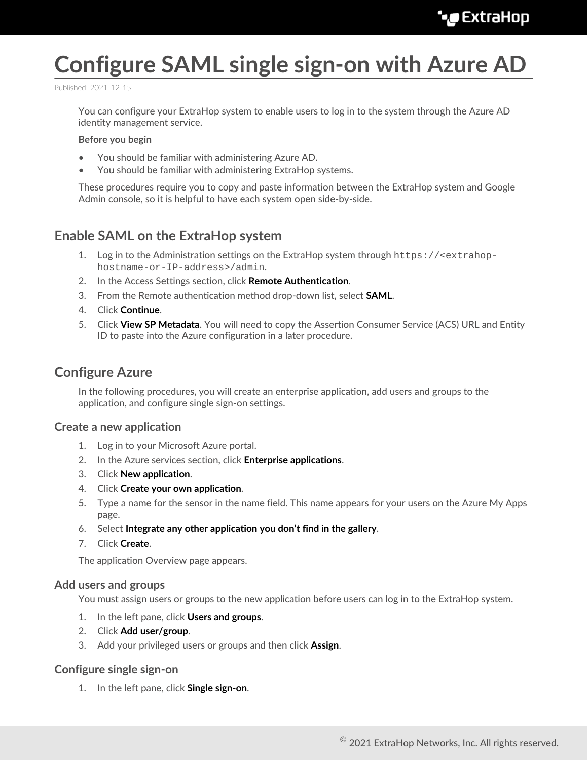# **Configure SAML single sign-on with Azure AD**

Published: 2021-12-15

You can configure your ExtraHop system to enable users to log in to the system through the Azure AD identity management service.

### **Before you begin**

- You should be familiar with administering Azure AD.
- You should be familiar with administering ExtraHop systems.

These procedures require you to copy and paste information between the ExtraHop system and Google Admin console, so it is helpful to have each system open side-by-side.

## **Enable SAML on the ExtraHop system**

- 1. Log in to the Administration settings on the ExtraHop system through https://<extrahophostname-or-IP-address>/admin.
- 2. In the Access Settings section, click **Remote Authentication**.
- 3. From the Remote authentication method drop-down list, select **SAML**.
- 4. Click **Continue**.
- 5. Click **View SP Metadata**. You will need to copy the Assertion Consumer Service (ACS) URL and Entity ID to paste into the Azure configuration in a later procedure.

### **Configure Azure**

In the following procedures, you will create an enterprise application, add users and groups to the application, and configure single sign-on settings.

### **Create a new application**

- 1. Log in to your Microsoft Azure portal.
- 2. In the Azure services section, click **Enterprise applications**.
- 3. Click **New application**.
- 4. Click **Create your own application**.
- 5. Type a name for the sensor in the name field. This name appears for your users on the Azure My Apps page.
- 6. Select **Integrate any other application you don't find in the gallery**.
- 7. Click **Create**.

The application Overview page appears.

### **Add users and groups**

You must assign users or groups to the new application before users can log in to the ExtraHop system.

- 1. In the left pane, click **Users and groups**.
- 2. Click **Add user/group**.
- 3. Add your privileged users or groups and then click **Assign**.

### **Configure single sign-on**

1. In the left pane, click **Single sign-on**.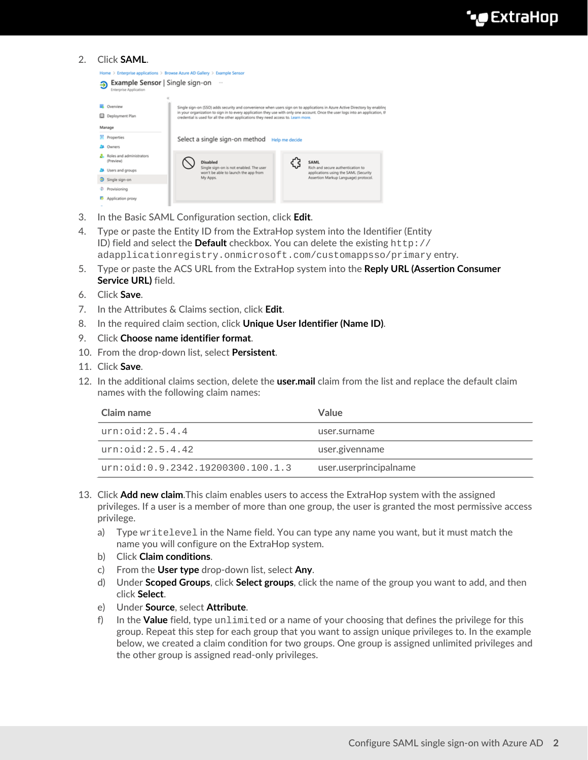### 2. Click **SAML**.

| Home > Enterprise applications > Browse Azure AD Gallery > Example Sensor |                                                                                    |                                                                                                                                                                                                                                                                |  |
|---------------------------------------------------------------------------|------------------------------------------------------------------------------------|----------------------------------------------------------------------------------------------------------------------------------------------------------------------------------------------------------------------------------------------------------------|--|
| Example Sensor   Single sign-on<br><b>Enterprise Application</b>          | $\sim$                                                                             |                                                                                                                                                                                                                                                                |  |
| Overview<br>Deployment Plan<br>ш<br>Manage                                | credential is used for all the other applications they need access to. Learn more. | Single sign-on (SSO) adds security and convenience when users sign on to applications in Azure Active Directory by enabling<br>in your organization to sign in to every application they use with only one account. Once the user logs into an application, th |  |
| ш<br><b>Properties</b><br>Owners                                          | Select a single sign-on method                                                     | Help me decide                                                                                                                                                                                                                                                 |  |
| Roles and administrators<br>(Preview)                                     | Disabled<br>Single sign-on is not enabled. The user                                | SAML<br>٤S<br>Rich and secure authentication to                                                                                                                                                                                                                |  |
| Users and groups<br>3 Single sign-on                                      | won't be able to launch the app from<br>My Apps.                                   | applications using the SAML (Security<br>Assertion Markup Language) protocol.                                                                                                                                                                                  |  |
| Provisioning<br>Application proxy                                         |                                                                                    |                                                                                                                                                                                                                                                                |  |

- 3. In the Basic SAML Configuration section, click **Edit**.
- 4. Type or paste the Entity ID from the ExtraHop system into the Identifier (Entity ID) field and select the **Default** checkbox. You can delete the existing http:// adapplicationregistry.onmicrosoft.com/customappsso/primary entry.
- 5. Type or paste the ACS URL from the ExtraHop system into the **Reply URL (Assertion Consumer Service URL)** field.
- 6. Click **Save**.
- 7. In the Attributes & Claims section, click **Edit**.
- 8. In the required claim section, click **Unique User Identifier (Name ID)**.
- 9. Click **Choose name identifier format**.
- 10. From the drop-down list, select **Persistent**.
- 11. Click **Save**.
- 12. In the additional claims section, delete the **user.mail** claim from the list and replace the default claim names with the following claim names:

| Claim name                          | <b>Value</b>           |
|-------------------------------------|------------------------|
| urn:oid:2.5.4.4                     | user.surname           |
| urn:oid:2.5.4.42                    | user.givenname         |
| urn: oid: 0.9.2342.19200300.100.1.3 | user.userprincipalname |

- 13. Click **Add new claim**.This claim enables users to access the ExtraHop system with the assigned privileges. If a user is a member of more than one group, the user is granted the most permissive access privilege.
	- a) Type writelevel in the Name field. You can type any name you want, but it must match the name you will configure on the ExtraHop system.
	- b) Click **Claim conditions**.
	- c) From the **User type** drop-down list, select **Any**.
	- d) Under **Scoped Groups**, click **Select groups**, click the name of the group you want to add, and then click **Select**.
	- e) Under **Source**, select **Attribute**.
	- f) In the **Value** field, type unlimited or a name of your choosing that defines the privilege for this group. Repeat this step for each group that you want to assign unique privileges to. In the example below, we created a claim condition for two groups. One group is assigned unlimited privileges and the other group is assigned read-only privileges.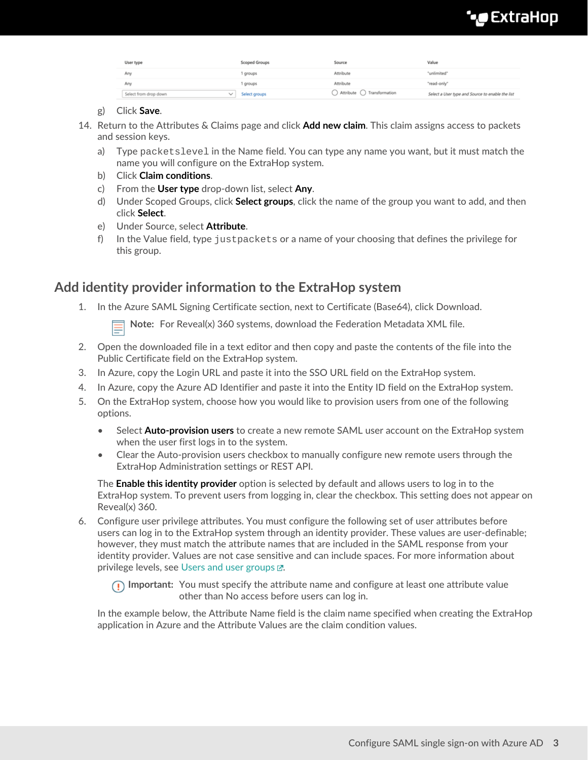# **\*\_@** ExtraHop

| User type             | Scoped Groups | Source                                         | Value                                            |
|-----------------------|---------------|------------------------------------------------|--------------------------------------------------|
| Any                   | 1 groups      | Attribute                                      | "unlimited"                                      |
| Any                   | 1 groups      | Attribute                                      | "read-only"                                      |
| Select from drop down | Select groups | $\bigcirc$ Attribute $\bigcirc$ Transformation | Select a User type and Source to enable the list |

### g) Click **Save**.

- 14. Return to the Attributes & Claims page and click **Add new claim**. This claim assigns access to packets and session keys.
	- a) Type packetslevel in the Name field. You can type any name you want, but it must match the name you will configure on the ExtraHop system.
	- b) Click **Claim conditions**.
	- c) From the **User type** drop-down list, select **Any**.
	- d) Under Scoped Groups, click **Select groups**, click the name of the group you want to add, and then click **Select**.
	- e) Under Source, select **Attribute**.
	- f) In the Value field, type justpackets or a name of your choosing that defines the privilege for this group.

# **Add identity provider information to the ExtraHop system**

1. In the Azure SAML Signing Certificate section, next to Certificate (Base64), click Download.

**Note:** For Reveal(x) 360 systems, download the Federation Metadata XML file.

- 2. Open the downloaded file in a text editor and then copy and paste the contents of the file into the Public Certificate field on the ExtraHop system.
- 3. In Azure, copy the Login URL and paste it into the SSO URL field on the ExtraHop system.
- 4. In Azure, copy the Azure AD Identifier and paste it into the Entity ID field on the ExtraHop system.
- 5. On the ExtraHop system, choose how you would like to provision users from one of the following options.
	- Select **Auto-provision users** to create a new remote SAML user account on the ExtraHop system when the user first logs in to the system.
	- Clear the Auto-provision users checkbox to manually configure new remote users through the ExtraHop Administration settings or REST API.

The **Enable this identity provider** option is selected by default and allows users to log in to the ExtraHop system. To prevent users from logging in, clear the checkbox. This setting does not appear on Reveal(x) 360.

6. Configure user privilege attributes. You must configure the following set of user attributes before users can log in to the ExtraHop system through an identity provider. These values are user-definable; however, they must match the attribute names that are included in the SAML response from your identity provider. Values are not case sensitive and can include spaces. For more information about privilege levels, see Users and user groups  $\mathbb{Z}$ .

**Important:** You must specify the attribute name and configure at least one attribute value other than No access before users can log in.

In the example below, the Attribute Name field is the claim name specified when creating the ExtraHop application in Azure and the Attribute Values are the claim condition values.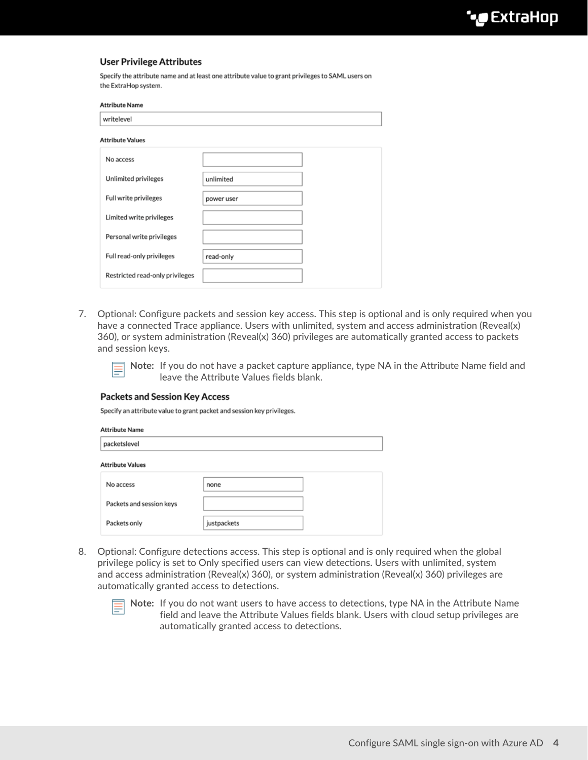### **User Privilege Attributes**

Specify the attribute name and at least one attribute value to grant privileges to SAML users on the ExtraHop system.

| <b>Attribute Name</b>           |            |  |
|---------------------------------|------------|--|
| writelevel                      |            |  |
| <b>Attribute Values</b>         |            |  |
| No access                       |            |  |
| Unlimited privileges            | unlimited  |  |
| Full write privileges           | power user |  |
| Limited write privileges        |            |  |
| Personal write privileges       |            |  |
| Full read-only privileges       | read-only  |  |
| Restricted read-only privileges |            |  |

7. Optional: Configure packets and session key access. This step is optional and is only required when you have a connected Trace appliance. Users with unlimited, system and access administration (Reveal(x) 360), or system administration (Reveal(x) 360) privileges are automatically granted access to packets and session keys.

> **Note:** If you do not have a packet capture appliance, type NA in the Attribute Name field and leave the Attribute Values fields blank.

### **Packets and Session Key Access**

Specify an attribute value to grant packet and session key privileges.

| <b>Attribute Name</b>    |             |  |
|--------------------------|-------------|--|
| packetslevel             |             |  |
| <b>Attribute Values</b>  |             |  |
| No access                | none        |  |
| Packets and session keys |             |  |
| Packets only             | justpackets |  |

8. Optional: Configure detections access. This step is optional and is only required when the global privilege policy is set to Only specified users can view detections. Users with unlimited, system and access administration (Reveal(x) 360), or system administration (Reveal(x) 360) privileges are automatically granted access to detections.



**Note:** If you do not want users to have access to detections, type NA in the Attribute Name field and leave the Attribute Values fields blank. Users with cloud setup privileges are automatically granted access to detections.